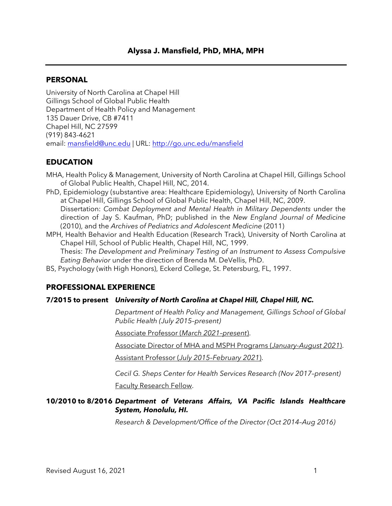# **Alyssa J. Mansfield, PhD, MHA, MPH**

### **PERSONAL**

University of North Carolina at Chapel Hill Gillings School of Global Public Health Department of Health Policy and Management 135 Dauer Drive, CB #7411 Chapel Hill, NC 27599 (919) 843-4621 email: [mansfield@unc.edu](mailto:mansfield@unc.edu) | URL:<http://go.unc.edu/mansfield>

### **EDUCATION**

MHA, Health Policy & Management, University of North Carolina at Chapel Hill, Gillings School of Global Public Health, Chapel Hill, NC, 2014.

- PhD, Epidemiology (substantive area: Healthcare Epidemiology), University of North Carolina at Chapel Hill, Gillings School of Global Public Health, Chapel Hill, NC, 2009. Dissertation: *Combat Deployment and Mental Health in Military Dependents* under the direction of Jay S. Kaufman, PhD; published in the *New England Journal of Medicine*  (2010), and the *Archives of Pediatrics and Adolescent Medicine* (2011)
- MPH, Health Behavior and Health Education (Research Track), University of North Carolina at Chapel Hill, School of Public Health, Chapel Hill, NC, 1999. Thesis: *The Development and Preliminary Testing of an Instrument to Assess Compulsive Eating Behavior* under the direction of Brenda M. DeVellis, PhD.
- BS, Psychology (with High Honors), Eckerd College, St. Petersburg, FL, 1997.

# **PROFESSIONAL EXPERIENCE**

#### **7/2015 to present** *University of North Carolina at Chapel Hill, Chapel Hill, NC.*

*Department of Health Policy and Management, Gillings School of Global Public Health (July 2015–present)*

Associate Professor (*March 2021–present*).

Associate Director of MHA and MSPH Programs (*January-August 2021*).

Assistant Professor (*July 2015–February 2021*).

*Cecil G. Sheps Center for Health Services Research (Nov 2017–present)*

Faculty Research Fellow.

# **10/2010 to 8/2016** *Department of Veterans Affairs, VA Pacific Islands Healthcare System, Honolulu, HI.*

*Research & Development/Office of the Director (Oct 2014–Aug 2016)*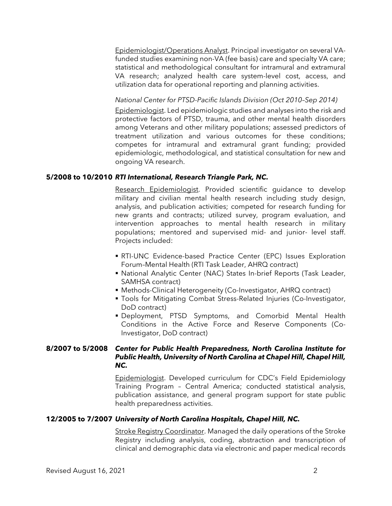Epidemiologist/Operations Analyst. Principal investigator on several VAfunded studies examining non-VA (fee basis) care and specialty VA care; statistical and methodological consultant for intramural and extramural VA research; analyzed health care system-level cost, access, and utilization data for operational reporting and planning activities.

### *National Center for PTSD-Pacific Islands Division (Oct 2010–Sep 2014)*

Epidemiologist. Led epidemiologic studies and analyses into the risk and protective factors of PTSD, trauma, and other mental health disorders among Veterans and other military populations; assessed predictors of treatment utilization and various outcomes for these conditions; competes for intramural and extramural grant funding; provided epidemiologic, methodological, and statistical consultation for new and ongoing VA research.

#### **5/2008 to 10/2010** *RTI International, Research Triangle Park, NC.*

Research Epidemiologist. Provided scientific guidance to develop military and civilian mental health research including study design, analysis, and publication activities; competed for research funding for new grants and contracts; utilized survey, program evaluation, and intervention approaches to mental health research in military populations; mentored and supervised mid- and junior- level staff. Projects included:

- RTI-UNC Evidence-based Practice Center (EPC) Issues Exploration Forum–Mental Health (RTI Task Leader, AHRQ contract)
- National Analytic Center (NAC) States In-brief Reports (Task Leader, SAMHSA contract)
- Methods-Clinical Heterogeneity (Co-Investigator, AHRQ contract)
- Tools for Mitigating Combat Stress-Related Injuries (Co-Investigator, DoD contract)
- Deployment, PTSD Symptoms, and Comorbid Mental Health Conditions in the Active Force and Reserve Components (Co-Investigator, DoD contract)

# **8/2007 to 5/2008** *Center for Public Health Preparedness, North Carolina Institute for Public Health, University of North Carolina at Chapel Hill, Chapel Hill, NC.*

Epidemiologist. Developed curriculum for CDC's Field Epidemiology Training Program – Central America; conducted statistical analysis, publication assistance, and general program support for state public health preparedness activities.

#### **12/2005 to 7/2007** *University of North Carolina Hospitals, Chapel Hill, NC.*

**Stroke Registry Coordinator.** Managed the daily operations of the Stroke Registry including analysis, coding, abstraction and transcription of clinical and demographic data via electronic and paper medical records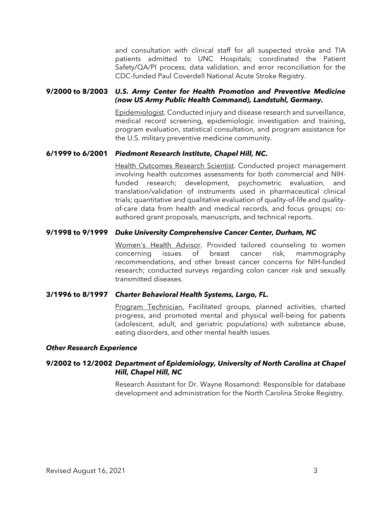and consultation with clinical staff for all suspected stroke and TIA patients admitted to UNC Hospitals; coordinated the Patient Safety/QA/PI process, data validation, and error reconciliation for the CDC-funded Paul Coverdell National Acute Stroke Registry.

### **9/2000 to 8/2003** *U.S. Army Center for Health Promotion and Preventive Medicine (now US Army Public Health Command), Landstuhl, Germany.*

Epidemiologist. Conducted injury and disease research and surveillance, medical record screening, epidemiologic investigation and training, program evaluation, statistical consultation, and program assistance for the U.S. military preventive medicine community.

#### **6/1999 to 6/2001** *Piedmont Research Institute, Chapel Hill, NC.*

Health Outcomes Research Scientist. Conducted project management involving health outcomes assessments for both commercial and NIHfunded research; development, psychometric evaluation, and translation/validation of instruments used in pharmaceutical clinical trials; quantitative and qualitative evaluation of quality-of-life and qualityof-care data from health and medical records, and focus groups; coauthored grant proposals, manuscripts, and technical reports.

#### **9/1998 to 9/1999** *Duke University Comprehensive Cancer Center, Durham, NC*

Women's Health Advisor. Provided tailored counseling to women concerning issues of breast cancer risk, mammography recommendations, and other breast cancer concerns for NIH-funded research; conducted surveys regarding colon cancer risk and sexually transmitted diseases.

#### **3/1996 to 8/1997** *Charter Behavioral Health Systems, Largo, FL.*

Program Technician. Facilitated groups, planned activities, charted progress, and promoted mental and physical well-being for patients (adolescent, adult, and geriatric populations) with substance abuse, eating disorders, and other mental health issues.

#### *Other Research Experience*

### **9/2002 to 12/2002** *Department of Epidemiology, University of North Carolina at Chapel Hill, Chapel Hill, NC*

Research Assistant for Dr. Wayne Rosamond: Responsible for database development and administration for the North Carolina Stroke Registry.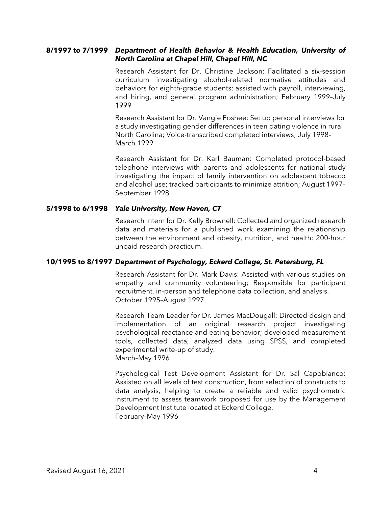#### **8/1997 to 7/1999** *Department of Health Behavior & Health Education, University of North Carolina at Chapel Hill, Chapel Hill, NC*

Research Assistant for Dr. Christine Jackson: Facilitated a six-session curriculum investigating alcohol-related normative attitudes and behaviors for eighth-grade students; assisted with payroll, interviewing, and hiring, and general program administration; February 1999–July 1999

Research Assistant for Dr. Vangie Foshee: Set up personal interviews for a study investigating gender differences in teen dating violence in rural North Carolina; Voice-transcribed completed interviews; July 1998– March 1999

Research Assistant for Dr. Karl Bauman: Completed protocol-based telephone interviews with parents and adolescents for national study investigating the impact of family intervention on adolescent tobacco and alcohol use; tracked participants to minimize attrition; August 1997– September 1998

#### **5/1998 to 6/1998** *Yale University, New Haven, CT*

Research Intern for Dr. Kelly Brownell: Collected and organized research data and materials for a published work examining the relationship between the environment and obesity, nutrition, and health; 200-hour unpaid research practicum.

#### **10/1995 to 8/1997** *Department of Psychology, Eckerd College, St. Petersburg, FL*

Research Assistant for Dr. Mark Davis: Assisted with various studies on empathy and community volunteering; Responsible for participant recruitment, in-person and telephone data collection, and analysis. October 1995–August 1997

Research Team Leader for Dr. James MacDougall: Directed design and implementation of an original research project investigating psychological reactance and eating behavior; developed measurement tools, collected data, analyzed data using SPSS, and completed experimental write-up of study. March–May 1996

Psychological Test Development Assistant for Dr. Sal Capobianco: Assisted on all levels of test construction, from selection of constructs to data analysis, helping to create a reliable and valid psychometric instrument to assess teamwork proposed for use by the Management Development Institute located at Eckerd College. February–May 1996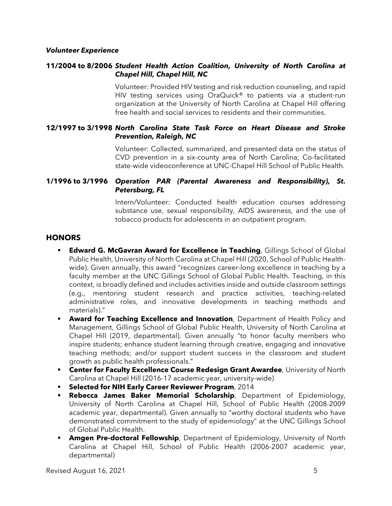#### *Volunteer Experience*

### **11/2004 to 8/2006** *Student Health Action Coalition, University of North Carolina at Chapel Hill, Chapel Hill, NC*

Volunteer: Provided HIV testing and risk reduction counseling, and rapid HIV testing services using OraQuick<sup>®</sup> to patients via a student-run organization at the University of North Carolina at Chapel Hill offering free health and social services to residents and their communities.

# **12/1997 to 3/1998** *North Carolina State Task Force on Heart Disease and Stroke Prevention, Raleigh, NC*

Volunteer: Collected, summarized, and presented data on the status of CVD prevention in a six-county area of North Carolina; Co-facilitated state-wide videoconference at UNC-Chapel Hill School of Public Health.

### **1/1996 to 3/1996** *Operation PAR (Parental Awareness and Responsibility), St. Petersburg, FL*

Intern/Volunteer: Conducted health education courses addressing substance use, sexual responsibility, AIDS awareness, and the use of tobacco products for adolescents in an outpatient program.

### **HONORS**

- **Edward G. McGavran Award for Excellence in Teaching**, Gillings School of Global Public Health, University of North Carolina at Chapel Hill (2020, School of Public Healthwide). Given annually, this award "recognizes career-long excellence in teaching by a faculty member at the UNC Gillings School of Global Public Health. Teaching, in this context, is broadly defined and includes activities inside and outside classroom settings (e.g., mentoring student research and practice activities, teaching-related administrative roles, and innovative developments in teaching methods and materials)."
- **Award for Teaching Excellence and Innovation**, Department of Health Policy and Management, Gillings School of Global Public Health, University of North Carolina at Chapel Hill (2019, departmental). Given annually "to honor faculty members who inspire students; enhance student learning through creative, engaging and innovative teaching methods; and/or support student success in the classroom and student growth as public health professionals."
- **Center for Faculty Excellence Course Redesign Grant Awardee**, University of North Carolina at Chapel Hill (2016-17 academic year, university-wide)
- **Selected for NIH Early Career Reviewer Program**, 2014
- **Rebecca James Baker Memorial Scholarship**, Department of Epidemiology, University of North Carolina at Chapel Hill, School of Public Health (2008-2009 academic year, departmental). Given annually to "worthy doctoral students who have demonstrated commitment to the study of epidemiology" at the UNC Gillings School of Global Public Health.
- **Amgen Pre-doctoral Fellowship**, Department of Epidemiology, University of North Carolina at Chapel Hill, School of Public Health (2006-2007 academic year, departmental)

Revised August 16, 2021 5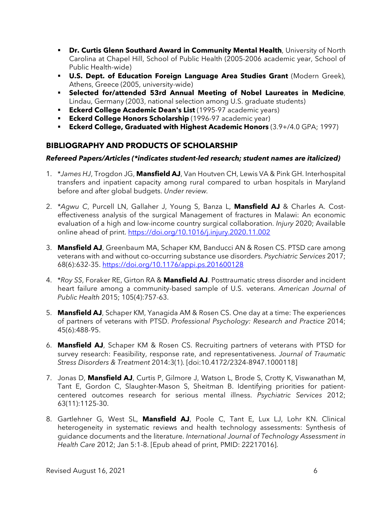- **Dr. Curtis Glenn Southard Award in Community Mental Health**, University of North Carolina at Chapel Hill, School of Public Health (2005-2006 academic year, School of Public Health-wide)
- **U.S. Dept. of Education Foreign Language Area Studies Grant** (Modern Greek), Athens, Greece (2005, university-wide)
- **Selected for/attended 53rd Annual Meeting of Nobel Laureates in Medicine**, Lindau, Germany (2003, national selection among U.S. graduate students)
- **Eckerd College Academic Dean's List** (1995-97 academic years)
- **Eckerd College Honors Scholarship** (1996-97 academic year)
- **Eckerd College, Graduated with Highest Academic Honors** (3.9+/4.0 GPA; 1997)

# **BIBLIOGRAPHY AND PRODUCTS OF SCHOLARSHIP**

# *Refereed Papers/Articles (\*indicates student-led research; student names are italicized)*

- 1. \**James HJ*, Trogdon JG, **Mansfield AJ**, Van Houtven CH, Lewis VA & Pink GH. Interhospital transfers and inpatient capacity among rural compared to urban hospitals in Maryland before and after global budgets. *Under review.*
- 2. \**Agwu C*, Purcell LN, Gallaher J, Young S, Banza L, **Mansfield AJ** & Charles A. Costeffectiveness analysis of the surgical Management of fractures in Malawi: An economic evaluation of a high and low-income country surgical collaboration. *Injury* 2020; Available online ahead of print. <https://doi.org/10.1016/j.injury.2020.11.002>
- 3. **Mansfield AJ**, Greenbaum MA, Schaper KM, Banducci AN & Rosen CS. PTSD care among veterans with and without co-occurring substance use disorders. *Psychiatric Services* 2017; 68(6):632-35.<https://doi.org/10.1176/appi.ps.201600128>
- 4. \**Roy SS*, Foraker RE, Girton RA & **Mansfield AJ**. Posttraumatic stress disorder and incident heart failure among a community-based sample of U.S. veterans. *American Journal of Public Health* 2015; 105(4):757-63.
- 5. **Mansfield AJ**, Schaper KM, Yanagida AM & Rosen CS. One day at a time: The experiences of partners of veterans with PTSD. *Professional Psychology: Research and Practice* 2014; 45(6):488-95.
- 6. **Mansfield AJ**, Schaper KM & Rosen CS. Recruiting partners of veterans with PTSD for survey research: Feasibility, response rate, and representativeness. *Journal of Traumatic Stress Disorders & Treatment* 2014:3(1). [doi:10.4172/2324-8947.1000118]
- 7. Jonas D, **Mansfield AJ**, Curtis P, Gilmore J, Watson L, Brode S, Crotty K, Viswanathan M, Tant E, Gordon C, Slaughter-Mason S, Sheitman B. Identifying priorities for patientcentered outcomes research for serious mental illness. *Psychiatric Services* 2012; 63(11):1125-30.
- 8. Gartlehner G, West SL, **Mansfield AJ**, Poole C, Tant E, Lux LJ, Lohr KN. Clinical heterogeneity in systematic reviews and health technology assessments: Synthesis of guidance documents and the literature. *International Journal of Technology Assessment in Health Care* 2012; Jan 5:1-8. [Epub ahead of print, PMID: 22217016].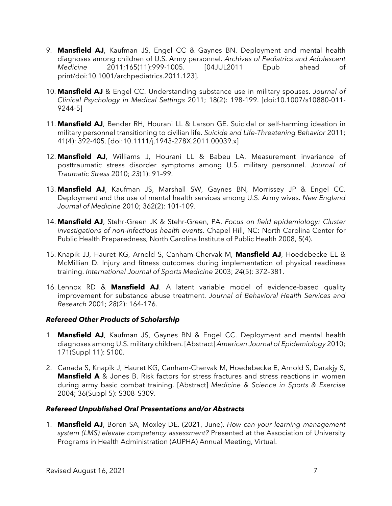- 9. **Mansfield AJ**, Kaufman JS, Engel CC & Gaynes BN. Deployment and mental health diagnoses among children of U.S. Army personnel. *Archives of Pediatrics and Adolescent Medicine* 2011;165(11):999-1005. [04JUL2011 Epub ahead of print/doi:10.1001/archpediatrics.2011.123].
- 10. **Mansfield AJ** & Engel CC. Understanding substance use in military spouses. *Journal of Clinical Psychology in Medical Settings* 2011; 18(2): 198-199. [doi:10.1007/s10880-011- 9244-5]
- 11. **Mansfield AJ**, Bender RH, Hourani LL & Larson GE. Suicidal or self-harming ideation in military personnel transitioning to civilian life. *Suicide and Life-Threatening Behavior* 2011; 41(4): 392-405. [doi:10.1111/j.1943-278X.2011.00039.x]
- 12. **Mansfield AJ**, Williams J, Hourani LL & Babeu LA. Measurement invariance of posttraumatic stress disorder symptoms among U.S. military personnel. *Journal of Traumatic Stress* 2010; *23*(1): 91–99.
- 13. **Mansfield AJ**, Kaufman JS, Marshall SW, Gaynes BN, Morrissey JP & Engel CC. Deployment and the use of mental health services among U.S. Army wives. *New England Journal of Medicine* 2010; 362(2): 101-109.
- 14. **Mansfield AJ**, Stehr-Green JK & Stehr-Green, PA. *Focus on field epidemiology: Cluster investigations of non-infectious health events*. Chapel Hill, NC: North Carolina Center for Public Health Preparedness, North Carolina Institute of Public Health 2008, 5(4).
- 15. Knapik JJ, Hauret KG, Arnold S, Canham-Chervak M, **Mansfield AJ**, Hoedebecke EL & McMillian D. Injury and fitness outcomes during implementation of physical readiness training. *International Journal of Sports Medicine* 2003; *24*(5): 372–381.
- 16. Lennox RD & **Mansfield AJ**. A latent variable model of evidence-based quality improvement for substance abuse treatment. *Journal of Behavioral Health Services and Research* 2001; *28*(2): 164-176.

# *Refereed Other Products of Scholarship*

- 1. **Mansfield AJ**, Kaufman JS, Gaynes BN & Engel CC. Deployment and mental health diagnoses among U.S. military children. [Abstract] *American Journal of Epidemiology* 2010; 171(Suppl 11): S100.
- 2. Canada S, Knapik J, Hauret KG, Canham-Chervak M, Hoedebecke E, Arnold S, Darakjy S, **Mansfield A** & Jones B. Risk factors for stress fractures and stress reactions in women during army basic combat training. [Abstract] *Medicine & Science in Sports & Exercise*  2004; 36(Suppl 5): S308–S309.

#### *Refereed Unpublished Oral Presentations and/or Abstracts*

1. **Mansfield AJ**, Boren SA, Moxley DE. (2021, June). *How can your learning management system (LMS) elevate competency assessment?* Presented at the Association of University Programs in Health Administration (AUPHA) Annual Meeting, Virtual.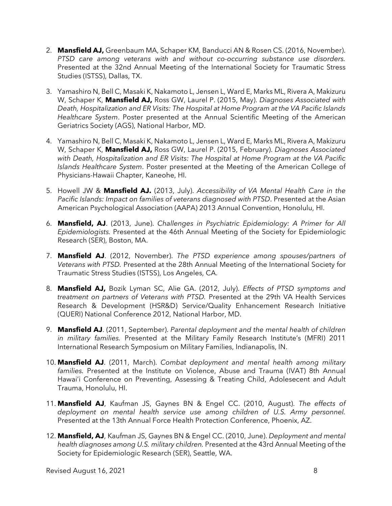- 2. **Mansfield AJ,** Greenbaum MA, Schaper KM, Banducci AN & Rosen CS. (2016, November). *PTSD care among veterans with and without co-occurring substance use disorders.* Presented at the 32nd Annual Meeting of the International Society for Traumatic Stress Studies (ISTSS), Dallas, TX.
- 3. Yamashiro N, Bell C, Masaki K, Nakamoto L, Jensen L, Ward E, Marks ML, Rivera A, Makizuru W, Schaper K, **Mansfield AJ,** Ross GW, Laurel P. (2015, May). *Diagnoses Associated with Death, Hospitalization and ER Visits: The Hospital at Home Program at the VA Pacific Islands Healthcare System*. Poster presented at the Annual Scientific Meeting of the American Geriatrics Society (AGS), National Harbor, MD.
- 4. Yamashiro N, Bell C, Masaki K, Nakamoto L, Jensen L, Ward E, Marks ML, Rivera A, Makizuru W, Schaper K, **Mansfield AJ,** Ross GW, Laurel P. (2015, February). *Diagnoses Associated with Death, Hospitalization and ER Visits: The Hospital at Home Program at the VA Pacific Islands Healthcare System*. Poster presented at the Meeting of the American College of Physicians-Hawaii Chapter, Kaneohe, HI.
- 5. Howell JW & **Mansfield AJ.** (2013, July). *Accessibility of VA Mental Health Care in the Pacific Islands: Impact on families of veterans diagnosed with PTSD*. Presented at the Asian American Psychological Association (AAPA) 2013 Annual Convention, Honolulu, HI.
- 6. **Mansfield, AJ**. (2013, June). *Challenges in Psychiatric Epidemiology: A Primer for All Epidemiologists.* Presented at the 46th Annual Meeting of the Society for Epidemiologic Research (SER), Boston, MA.
- 7. **Mansfield AJ**. (2012, November). *The PTSD experience among spouses/partners of Veterans with PTSD.* Presented at the 28th Annual Meeting of the International Society for Traumatic Stress Studies (ISTSS), Los Angeles, CA.
- 8. **Mansfield AJ,** Bozik Lyman SC, Alie GA. (2012, July). *Effects of PTSD symptoms and treatment on partners of Veterans with PTSD.* Presented at the 29th VA Health Services Research & Development (HSR&D) Service/Quality Enhancement Research Initiative (QUERI) National Conference 2012, National Harbor, MD.
- 9. **Mansfield AJ**. (2011, September). *Parental deployment and the mental health of children in military families.* Presented at the Military Family Research Institute's (MFRI) 2011 International Research Symposium on Military Families, Indianapolis, IN.
- 10. **Mansfield AJ**. (2011, March). *Combat deployment and mental health among military families.* Presented at the Institute on Violence, Abuse and Trauma (IVAT) 8th Annual Hawai'i Conference on Preventing, Assessing & Treating Child, Adolesecent and Adult Trauma, Honolulu, HI.
- 11. **Mansfield AJ**, Kaufman JS, Gaynes BN & Engel CC. (2010, August). *The effects of deployment on mental health service use among children of U.S. Army personnel.* Presented at the 13th Annual Force Health Protection Conference, Phoenix, AZ.
- 12. **Mansfield, AJ**, Kaufman JS, Gaynes BN & Engel CC. (2010, June). *Deployment and mental health diagnoses among U.S. military children.* Presented at the 43rd Annual Meeting of the Society for Epidemiologic Research (SER), Seattle, WA.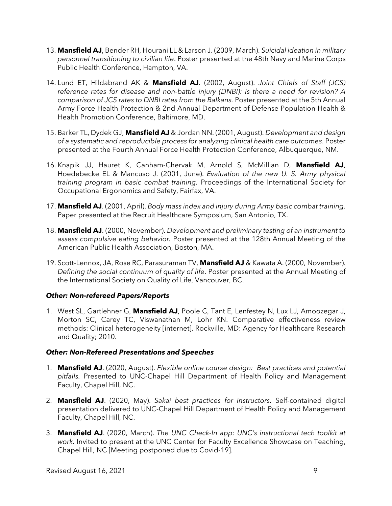- 13. **Mansfield AJ**, Bender RH, Hourani LL & Larson J. (2009, March). *Suicidal ideation in military personnel transitioning to civilian life*. Poster presented at the 48th Navy and Marine Corps Public Health Conference, Hampton, VA.
- 14. Lund ET, Hildabrand AK & **Mansfield AJ**. (2002, August). *Joint Chiefs of Staff (JCS) reference rates for disease and non-battle injury (DNBI): Is there a need for revision? A comparison of JCS rates to DNBI rates from the Balkans.* Poster presented at the 5th Annual Army Force Health Protection & 2nd Annual Department of Defense Population Health & Health Promotion Conference, Baltimore, MD.
- 15. Barker TL, Dydek GJ, **Mansfield AJ** & Jordan NN. (2001, August). *Development and design of a systematic and reproducible process for analyzing clinical health care outcomes*. Poster presented at the Fourth Annual Force Health Protection Conference, Albuquerque, NM.
- 16. Knapik JJ, Hauret K, Canham-Chervak M, Arnold S, McMillian D, **Mansfield AJ**, Hoedebecke EL & Mancuso J. (2001, June). *Evaluation of the new U. S. Army physical training program in basic combat training.* Proceedings of the International Society for Occupational Ergonomics and Safety, Fairfax, VA.
- 17. **Mansfield AJ**. (2001, April). *Body mass index and injury during Army basic combat training*. Paper presented at the Recruit Healthcare Symposium, San Antonio, TX.
- 18. **Mansfield AJ**. (2000, November). *Development and preliminary testing of an instrument to assess compulsive eating behavior.* Poster presented at the 128th Annual Meeting of the American Public Health Association, Boston, MA.
- 19. Scott-Lennox, JA, Rose RC, Parasuraman TV, **Mansfield AJ** & Kawata A. (2000, November). *Defining the social continuum of quality of life*. Poster presented at the Annual Meeting of the International Society on Quality of Life, Vancouver, BC.

# *Other: Non-refereed Papers/Reports*

1. West SL, Gartlehner G, **Mansfield AJ**, Poole C, Tant E, Lenfestey N, Lux LJ, Amoozegar J, Morton SC, Carey TC, Viswanathan M, Lohr KN. Comparative effectiveness review methods: Clinical heterogeneity [internet]. Rockville, MD: Agency for Healthcare Research and Quality; 2010.

#### *Other: Non-Refereed Presentations and Speeches*

- 1. **Mansfield AJ**. (2020, August). *Flexible online course design: Best practices and potential pitfalls.* Presented to UNC-Chapel Hill Department of Health Policy and Management Faculty, Chapel Hill, NC.
- 2. **Mansfield AJ**. (2020, May). *Sakai best practices for instructors.* Self-contained digital presentation delivered to UNC-Chapel Hill Department of Health Policy and Management Faculty, Chapel Hill, NC.
- 3. **Mansfield AJ**. (2020, March). *The UNC Check-In app: UNC's instructional tech toolkit at work.* Invited to present at the UNC Center for Faculty Excellence Showcase on Teaching, Chapel Hill, NC [Meeting postponed due to Covid-19].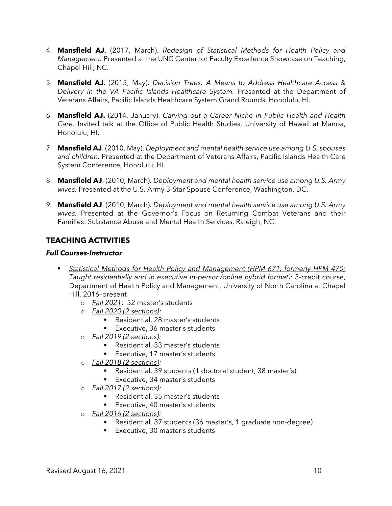- 4. **Mansfield AJ**. (2017, March). *Redesign of Statistical Methods for Health Policy and Management.* Presented at the UNC Center for Faculty Excellence Showcase on Teaching, Chapel Hill, NC.
- 5. **Mansfield AJ**. (2015, May). *Decision Trees: A Means to Address Healthcare Access & Delivery in the VA Pacific Islands Healthcare System.* Presented at the Department of Veterans Affairs, Pacific Islands Healthcare System Grand Rounds, Honolulu, HI.
- 6. **Mansfield AJ.** (2014, January). *Carving out a Career Niche in Public Health and Health Care*. Invited talk at the Office of Public Health Studies, University of Hawaii at Manoa, Honolulu, HI.
- 7. **Mansfield AJ**. (2010, May). *Deployment and mental health service use among U.S. spouses and children.* Presented at the Department of Veterans Affairs, Pacific Islands Health Care System Conference, Honolulu, HI.
- 8. **Mansfield AJ**. (2010, March). *Deployment and mental health service use among U.S. Army wives.* Presented at the U.S. Army 3-Star Spouse Conference, Washington, DC.
- 9. **Mansfield AJ**. (2010, March). *Deployment and mental health service use among U.S. Army wives.* Presented at the Governor's Focus on Returning Combat Veterans and their Families: Substance Abuse and Mental Health Services, Raleigh, NC.

# **TEACHING ACTIVITIES**

# *Full Courses-Instructor*

- *Statistical Methods for Health Policy and Management (HPM 671, formerly HPM 470; Taught residentially and in executive in-person/online hybrid format):* 3-credit course, Department of Health Policy and Management, University of North Carolina at Chapel Hill, 2016–present
	- o *Fall 2021*: 52 master's students
	- o *Fall 2020 (2 sections):*
		- Residential, 28 master's students
		- **Executive, 36 master's students**
	- o *Fall 2019 (2 sections):*
		- Residential, 33 master's students
		- Executive, 17 master's students
	- o *Fall 2018 (2 sections):*
		- Residential, 39 students (1 doctoral student, 38 master's)
		- **Executive, 34 master's students**
	- o *Fall 2017 (2 sections):*
		- Residential, 35 master's students
		- **Executive, 40 master's students**
	- o *Fall 2016 (2 sections):*
		- Residential, 37 students (36 master's, 1 graduate non-degree)
		- **Executive, 30 master's students**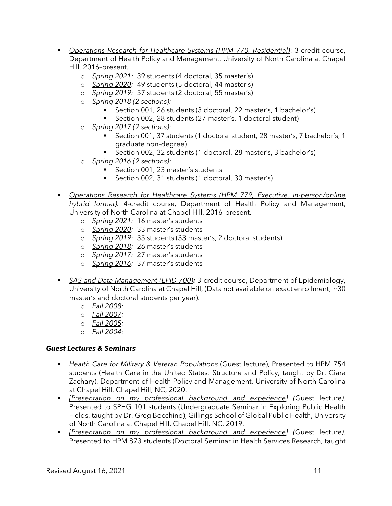- *Operations Research for Healthcare Systems (HPM 770, Residential)*: 3-credit course, Department of Health Policy and Management, University of North Carolina at Chapel Hill, 2016–present.
	- o *Spring 2021:* 39 students (4 doctoral, 35 master's)
	- o *Spring 2020:* 49 students (5 doctoral, 44 master's)
	- o *Spring 2019:* 57 students (2 doctoral, 55 master's)
	- o *Spring 2018 (2 sections):*
		- Section 001, 26 students (3 doctoral, 22 master's, 1 bachelor's)
		- Section 002, 28 students (27 master's, 1 doctoral student)
	- o *Spring 2017 (2 sections):*
		- Section 001, 37 students (1 doctoral student, 28 master's, 7 bachelor's, 1 graduate non-degree)
		- Section 002, 32 students (1 doctoral, 28 master's, 3 bachelor's)
	- o *Spring 2016 (2 sections):*
		- Section 001, 23 master's students
		- Section 002, 31 students (1 doctoral, 30 master's)
- *Operations Research for Healthcare Systems (HPM 779, Executive, in-person/online hybrid format):* 4-credit course, Department of Health Policy and Management, University of North Carolina at Chapel Hill, 2016–present.
	- o *Spring 2021:* 16 master's students
	- o *Spring 2020:* 33 master's students
	- o *Spring 2019:* 35 students (33 master's, 2 doctoral students)
	- o *Spring 2018:* 26 master's students
	- o *Spring 2017:* 27 master's students
	- o *Spring 2016:* 37 master's students
- *SAS and Data Management (EPID 700):* 3-credit course, Department of Epidemiology, University of North Carolina at Chapel Hill, (Data not available on exact enrollment; ~30 master's and doctoral students per year).
	- o *Fall 2008:*
	- o *Fall 2007:*
	- o *Fall 2005:*
	- o *Fall 2004:*

#### *Guest Lectures & Seminars*

- *Health Care for Military & Veteran Populations* (Guest lecture), Presented to HPM 754 students (Health Care in the United States: Structure and Policy, taught by Dr. Ciara Zachary), Department of Health Policy and Management, University of North Carolina at Chapel Hill, Chapel Hill, NC, 2020.
- *[Presentation on my professional background and experience] (*Guest lecture*),* Presented to SPHG 101 students (Undergraduate Seminar in Exploring Public Health Fields, taught by Dr. Greg Bocchino), Gillings School of Global Public Health, University of North Carolina at Chapel Hill, Chapel Hill, NC, 2019.
- *[Presentation on my professional background and experience] (*Guest lecture*),* Presented to HPM 873 students (Doctoral Seminar in Health Services Research, taught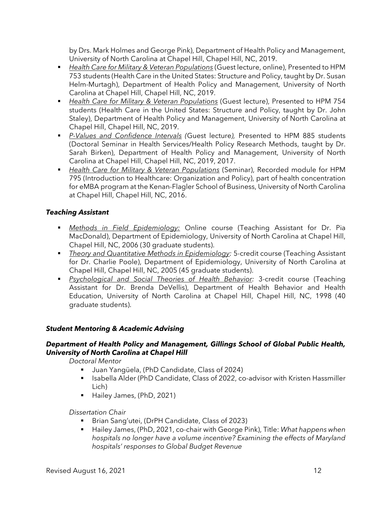by Drs. Mark Holmes and George Pink), Department of Health Policy and Management, University of North Carolina at Chapel Hill, Chapel Hill, NC, 2019.

- *Health Care for Military & Veteran Populations* (Guest lecture, online), Presented to HPM 753 students (Health Care in the United States: Structure and Policy, taught by Dr. Susan Helm-Murtagh), Department of Health Policy and Management, University of North Carolina at Chapel Hill, Chapel Hill, NC, 2019.
- *Health Care for Military & Veteran Populations* (Guest lecture), Presented to HPM 754 students (Health Care in the United States: Structure and Policy, taught by Dr. John Staley), Department of Health Policy and Management, University of North Carolina at Chapel Hill, Chapel Hill, NC, 2019.
- *P-Values and Confidence Intervals (*Guest lecture*),* Presented to HPM 885 students (Doctoral Seminar in Health Services/Health Policy Research Methods, taught by Dr. Sarah Birken), Department of Health Policy and Management, University of North Carolina at Chapel Hill, Chapel Hill, NC, 2019, 2017.
- *Health Care for Military & Veteran Populations* (Seminar), Recorded module for HPM 795 (Introduction to Healthcare: Organization and Policy), part of health concentration for eMBA program at the Kenan-Flagler School of Business, University of North Carolina at Chapel Hill, Chapel Hill, NC, 2016.

# *Teaching Assistant*

- *Methods in Field Epidemiology:* Online course (Teaching Assistant for Dr. Pia MacDonald), Department of Epidemiology, University of North Carolina at Chapel Hill, Chapel Hill, NC, 2006 (30 graduate students).
- *Theory and Quantitative Methods in Epidemiology:* 5-credit course (Teaching Assistant for Dr. Charlie Poole), Department of Epidemiology, University of North Carolina at Chapel Hill, Chapel Hill, NC, 2005 (45 graduate students).
- *Psychological and Social Theories of Health Behavior:* 3-credit course (Teaching Assistant for Dr. Brenda DeVellis), Department of Health Behavior and Health Education, University of North Carolina at Chapel Hill, Chapel Hill, NC, 1998 (40 graduate students).

# *Student Mentoring & Academic Advising*

# *Department of Health Policy and Management, Gillings School of Global Public Health, University of North Carolina at Chapel Hill*

*Doctoral Mentor*

- Juan Yangüela, (PhD Candidate, Class of 2024)
- **ISABEL Adder (PhD Candidate, Class of 2022, co-advisor with Kristen Hassmiller** Lich)
- Hailey James, (PhD, 2021)

# *Dissertation Chair*

- Brian Sang'utei, (DrPH Candidate, Class of 2023)
- Hailey James, (PhD, 2021, co-chair with George Pink), Title: *What happens when hospitals no longer have a volume incentive? Examining the effects of Maryland hospitals' responses to Global Budget Revenue*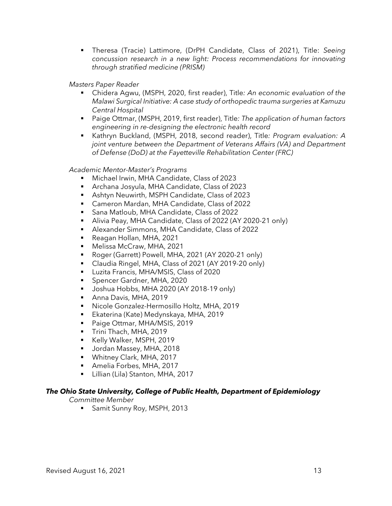Theresa (Tracie) Lattimore, (DrPH Candidate, Class of 2021), Title: *Seeing concussion research in a new light: Process recommendations for innovating through stratified medicine (PRISM)*

*Masters Paper Reader*

- Chidera Agwu, (MSPH, 2020, first reader), Title*: An economic evaluation of the Malawi Surgical Initiative: A case study of orthopedic trauma surgeries at Kamuzu Central Hospital*
- Paige Ottmar, (MSPH, 2019, first reader), Title*: The application of human factors engineering in re-designing the electronic health record*
- Kathryn Buckland, (MSPH, 2018, second reader), Title: Program evaluation: A *joint venture between the Department of Veterans Affairs (VA) and Department of Defense (DoD) at the Fayetteville Rehabilitation Center (FRC)*

*Academic Mentor-Master's Programs*

- Michael Irwin, MHA Candidate, Class of 2023
- Archana Josyula, MHA Candidate, Class of 2023
- Ashtyn Neuwirth, MSPH Candidate, Class of 2023
- Cameron Mardan, MHA Candidate, Class of 2022
- Sana Matloub, MHA Candidate, Class of 2022
- Alivia Peay, MHA Candidate, Class of 2022 (AY 2020-21 only)
- Alexander Simmons, MHA Candidate, Class of 2022
- Reagan Hollan, MHA, 2021
- Melissa McCraw, MHA, 2021
- Roger (Garrett) Powell, MHA, 2021 (AY 2020-21 only)
- Claudia Ringel, MHA, Class of 2021 (AY 2019-20 only)
- Luzita Francis, MHA/MSIS, Class of 2020
- **Spencer Gardner, MHA, 2020**
- Ushua Hobbs, MHA 2020 (AY 2018-19 only)
- **Anna Davis, MHA, 2019**
- Nicole Gonzalez-Hermosillo Holtz, MHA, 2019
- Ekaterina (Kate) Medynskaya, MHA, 2019
- Paige Ottmar, MHA/MSIS, 2019
- Trini Thach, MHA, 2019
- Kelly Walker, MSPH, 2019
- **Jordan Massey, MHA, 2018**
- **Whitney Clark, MHA, 2017**
- Amelia Forbes, MHA, 2017
- Lillian (Lila) Stanton, MHA, 2017

# *The Ohio State University, College of Public Health, Department of Epidemiology*

*Committee Member*

**Samit Sunny Roy, MSPH, 2013**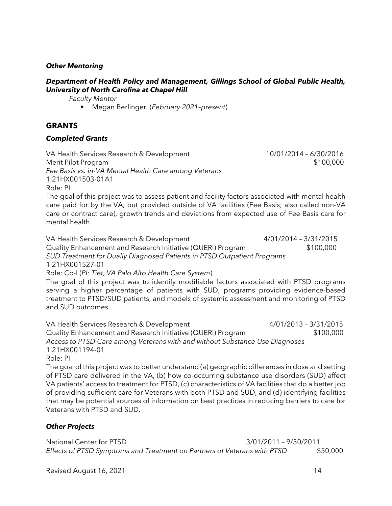### *Other Mentoring*

#### *Department of Health Policy and Management, Gillings School of Global Public Health, University of North Carolina at Chapel Hill*

*Faculty Mentor*

Megan Berlinger, (*February 2021–present*)

# **GRANTS**

#### *Completed Grants*

VA Health Services Research & Development 10/01/2014 – 6/30/2016 Merit Pilot Program \$100,000 *Fee Basis vs. in-VA Mental Health Care among Veterans* 1I21HX001503-01A1 Role: PI

The goal of this project was to assess patient and facility factors associated with mental health care paid for by the VA, but provided outside of VA facilities (Fee Basis; also called non-VA care or contract care), growth trends and deviations from expected use of Fee Basis care for mental health.

VA Health Services Research & Development 4/01/2014 - 3/31/2015 Quality Enhancement and Research Initiative (QUERI) Program \$100,000 *SUD Treatment for Dually Diagnosed Patients in PTSD Outpatient Programs* 1I21HX001527-01

Role: Co-I (*PI: Tiet, VA Palo Alto Health Care System*)

The goal of this project was to identify modifiable factors associated with PTSD programs serving a higher percentage of patients with SUD, programs providing evidence-based treatment to PTSD/SUD patients, and models of systemic assessment and monitoring of PTSD and SUD outcomes.

VA Health Services Research & Development 4/01/2013 – 3/31/2015 Quality Enhancement and Research Initiative (QUERI) Program \$100,000 *Access to PTSD Care among Veterans with and without Substance Use Diagnoses* 1I21HX001194-01

Role: PI

The goal of this project was to better understand (a) geographic differences in dose and setting of PTSD care delivered in the VA, (b) how co-occurring substance use disorders (SUD) affect VA patients' access to treatment for PTSD, (c) characteristics of VA facilities that do a better job of providing sufficient care for Veterans with both PTSD and SUD, and (d) identifying facilities that may be potential sources of information on best practices in reducing barriers to care for Veterans with PTSD and SUD.

# *Other Projects*

National Center for PTSD 3/01/2011 – 9/30/2011 *Effects of PTSD Symptoms and Treatment on Partners of Veterans with PTSD* \$50,000